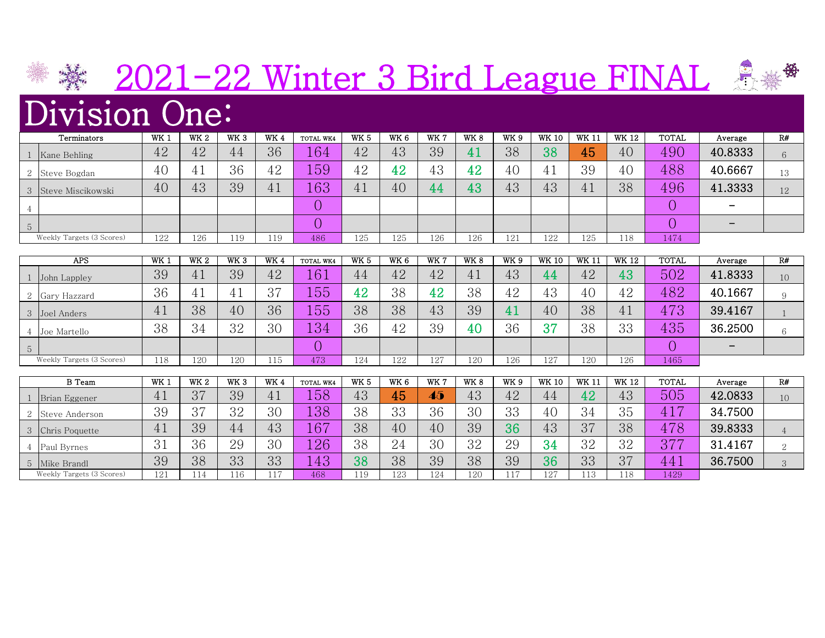

## Division One:

| Terminators               | WK <sub>1</sub> | <b>WK 2</b>               | WK <sub>3</sub> | WK 4    | TOTAL WK4 | <b>WK 5</b> | WK 6 | <b>WK 7</b> | WK 8 | <b>WK 9</b> | <b>WK 10</b> | <b>WK 11</b> | WK 12 | TOTAL | Average | R# |
|---------------------------|-----------------|---------------------------|-----------------|---------|-----------|-------------|------|-------------|------|-------------|--------------|--------------|-------|-------|---------|----|
| Kane Behling              | 42              | $\overline{\Omega}$<br>44 | 44              | 36      | 164       | 42          | 43   | 39          |      | 38          | 38           | 45           | 40    | 490   | 40.8333 |    |
| Steve Bogdan              | 40              |                           | 36              | 42      | 159       | 42          | 42   | 43          | 42   | 40          | 41           | 39           | 40    | 488   | 40.6667 | 13 |
| Steve Miscikowski         | 40              | ເດ<br>4ō                  | 39              | 4<br>⊥⊥ | 163       | 41          | 40   | 44          | 43   | 43          | 43           | 41           | 38    | 496   | 41.3333 | 12 |
|                           |                 |                           |                 |         |           |             |      |             |      |             |              |              |       |       |         |    |
|                           |                 |                           |                 |         |           |             |      |             |      |             |              |              |       |       |         |    |
| Weekly Targets (3 Scores) | 122             | 126                       | 119             | 119     | 486       | 125         | 125  | 126         | 126  | 121         | 122          | 125          | 18    | 1474/ |         |    |

| <b>APS</b>                | WK 1 | WK 2 | WK 3 | WK 4     | TOTAL WK4 | WK 5 | WK 6 | WK 7 | WK 8     | WK 9      | WK 10 | WK 11 | WK 12 | TOTAL | Average                  | R# |
|---------------------------|------|------|------|----------|-----------|------|------|------|----------|-----------|-------|-------|-------|-------|--------------------------|----|
| John Lappley              | 39   | 4    | 39   | 42       | 161       | 44   | 42   | 42   | 4        | 43        | 44    | 42    | 43    | 502   | 41.8333                  | 10 |
| 2 Gary Hazzard            | 36   |      | 41   | 27<br>ບ≀ | 155       | 42   | 38   | 42   | 38       | 42<br>£4. | 43    | 40    | 42    | 482   | 40.1667                  |    |
| 3 Joel Anders             |      | 38   | 40   | 36       | 155       | 38   | 38   | 43   | 30<br>υJ |           | 40    | 38    | 41    | 473   | 39.4167                  |    |
| Joe Martello              | 38   | 34   | 32   | 30       | 134       | 36   | 42   | 39   |          | 36        | 37    | 38    | 33    | 435   | 36.2500                  |    |
| 5                         |      |      |      |          |           |      |      |      |          |           |       |       |       |       | $\overline{\phantom{0}}$ |    |
| Weekly Targets (3 Scores) | 118  | 120  | 120  | 115      | 473       | 124  | 122  | 127  | 120      | 126       | 127   | 120   | 126   | 1465  |                          |    |

| <b>B</b> Team             | WK 1             | WK <sub>2</sub>   | WK <sub>3</sub> | <b>WK4</b>     | TOTAL WK4 | WK 5 | WK 6 | WK 7 | <b>WK8</b> | <b>WK 9</b> | <b>WK 10</b> | <b>WK 1.</b>   | WK 12    | <b>TOTAL</b>     | Average | R# |
|---------------------------|------------------|-------------------|-----------------|----------------|-----------|------|------|------|------------|-------------|--------------|----------------|----------|------------------|---------|----|
| Brian Eggener             | 41               | 27<br>◡ィ          | 39              | 41             | 58        | 43   | 45   | 45   | 43         | 42          | 44           | 42             | 43       | 505              | 42.0833 | 10 |
| Steve Anderson            | 39               | $\Omega$<br>. ರಾ. | 32              | 30             | .38       | 38   | 33   | 36   | 30         | 33          | 4C           | 24<br>∪±       | 35       | $\sqrt{7}$<br>41 | 34.7500 |    |
| Chris Poquette            |                  | 39                | 44              | 43             | 167       | 38   | 40   | 40   | 39         | 36          | 43           | 27             | 38       | 478              | 39.8333 |    |
| Paul Byrnes               | $\Omega$ 1<br>◡▴ | 36                | 29              | 30             | .26       | 38   | 24   | 30   | つつ<br>◡△   | 29          | 34           | $\Omega$<br>◡▱ | 32<br>◡▱ | 377              | 31.4167 |    |
| Mike Brandl               | 39               | 38                | 33              | QQ<br>ບບ       | 43        | 38   | 38   | 39   | 38         | 39          | 36           | QQ<br>ഄഄ       | 37       | 44 <sub>1</sub>  | 36.7500 |    |
| Weekly Targets (3 Scores) | 121              | 114               | 116             | 117<br>$\pm 1$ | 468       | 119  | 123  | 124  | 120        |             | 127          | 113            | 118      | 1429             |         |    |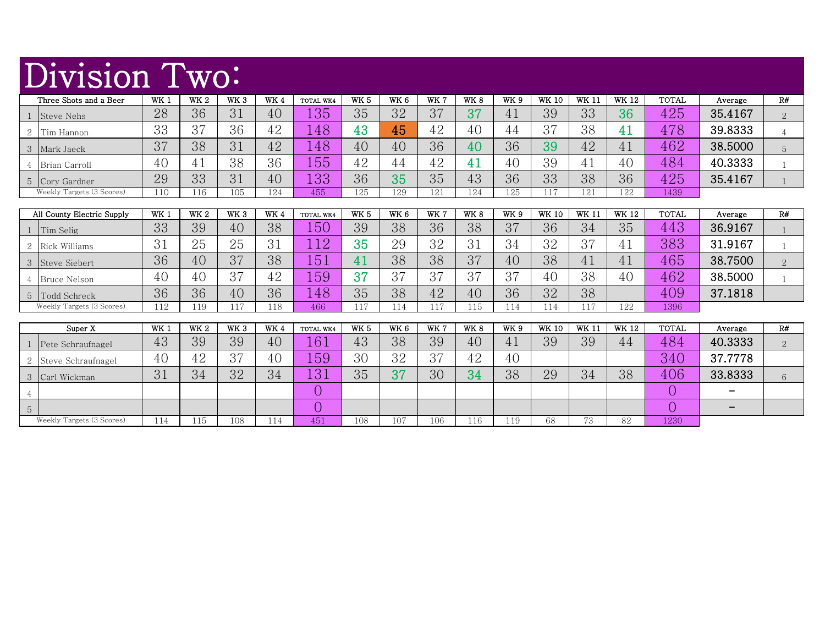## Division Two:

|   | Three Shots and a Beer     | <b>WK1</b>      | <b>WK 2</b> | WK <sub>3</sub> | WK4        | TOTAL WK4       | <b>WK 5</b> | WK 6 | WK 7 | <b>WK 8</b> | <b>WK9</b> | <b>WK 10</b> | <b>WK 11</b> | <b>WK 12</b> | <b>TOTAL</b> | Average | R#             |
|---|----------------------------|-----------------|-------------|-----------------|------------|-----------------|-------------|------|------|-------------|------------|--------------|--------------|--------------|--------------|---------|----------------|
|   | Steve Nehs                 | 28              | 36          | 31              | 40         | L35             | 35          | 32   | 37   | 37          | 41         | 39           | 33           | 36           | 425          | 35.4167 | $\overline{2}$ |
| 2 | Tim Hannon                 | 33              | 37          | 36              | 42         | 148             | 43          | 45   | 42   | 40          | 44         | 37           | 38           | 41           | 478          | 39.8333 |                |
|   | 3 Mark Jaeck               | 37              | 38          | 31              | 42         | 148             | 40          | 40   | 36   | 40          | 36         | 39           | 42           | 41           | 462          | 38.5000 |                |
|   | Brian Carroll              | 40              | 41          | 38              | 36         | L <sub>55</sub> | 42          | 44   | 42   | 41          | 40         | 39           | 41           | 40           | 484          | 40.3333 |                |
|   | 5 Cory Gardner             | 29              | 33          | 31              | 40         | 133             | 36          | 35   | 35   | 43          | 36         | 33           | 38           | 36           | 425          | 35.4167 |                |
|   | Weekly Targets (3 Scores)  | 110             | 116         | 105             | 124        | 455             | 125         | 129  | 121  | 124         | 125        | 117          | 121          | 122          | 1439         |         |                |
|   |                            |                 |             |                 |            |                 |             |      |      |             |            |              |              |              |              |         |                |
|   |                            |                 |             |                 |            |                 |             |      |      |             |            |              |              |              |              |         |                |
|   | All County Electric Supply | WK <sub>1</sub> | <b>WK 2</b> | WK <sub>3</sub> | <b>WK4</b> | TOTAL WK4       | <b>WK 5</b> | WK 6 | WK 7 | <b>WK 8</b> | <b>WK9</b> | <b>WK 10</b> | <b>WK 11</b> | WK 12        | <b>TOTAL</b> | Average | R#             |
|   | Tim Selig                  | 33              | 39          | 40              | 38         | 150             | 39          | 38   | 36   | 38          | 37         | 36           | 34           | 35           | 443          | 36.9167 |                |
| 2 | Rick Williams              | 31              | 25          | 25              | 31         | 12              | 35          | 29   | 32   | 31          | 34         | 32           | 37           | 41           | 383          | 31.9167 |                |
|   | 3 Steve Siebert            | 36              | 40          | 37              | 38         | 151             | 41          | 38   | 38   | 37          | 40         | 38           | 41           | 41           | 465          | 38.7500 | $\overline{2}$ |
|   | Bruce Nelson               | 40              | 40          | 37              | 42         | 159             | 37          | 37   | 37   | 37          | 37         | 40           | 38           | 40           | 462          | 38.5000 |                |
|   | 5 Todd Schreck             | 36              | 36          | 40              | 36         | .48             | 35          | 38   | 42   | 40          | 36         | 32           | 38           |              | 409          | 37.1818 |                |

| Super X                   | WK 1             | WK 2                                | WK <sub>3</sub> | WK 4             | TOTAL WK4            | WK <sub>5</sub> | WK <sub>6</sub> | WK 7 | WK 8     | WK 9 | <b>WK 10</b> | WK 11 | WK 12 | TOTAL      | Average                  | R# |
|---------------------------|------------------|-------------------------------------|-----------------|------------------|----------------------|-----------------|-----------------|------|----------|------|--------------|-------|-------|------------|--------------------------|----|
| Pete Schraufnagel         | 43               | 39                                  | 39              | $\sqrt{ }$<br>ŦŪ | 161                  | 43              | 38              | 39   | 40       | 4    | 39           | 39    | 44    | 484        | 40.3333                  |    |
| Steve Schraufnagel        | 40               | $\overline{1}$ $\overline{1}$<br>±Δ | 37              | $\sqrt{2}$<br>生い | 159                  | 30              | 32              | 37   | 42       | 40   |              |       |       | 340        | 37.7778                  |    |
| Carl Wickman              | $\Omega$ 1<br>∪⊥ | $\Omega$ $\Lambda$                  | 32              | 34               | $\sqrt{21}$<br>1 O I | 35              | $\Omega$        | 30   | 34<br>u− | 38   | 29           | 34    | 38    | 406        | 33.8333                  |    |
|                           |                  |                                     |                 |                  |                      |                 |                 |      |          |      |              |       |       |            | $\overline{\phantom{0}}$ |    |
|                           |                  |                                     |                 |                  |                      |                 |                 |      |          |      |              |       |       | $\sqrt{ }$ | $\overline{\phantom{0}}$ |    |
| Weekly Targets (3 Scores) | 114              | 115                                 | 108             | 114              | 451                  | 108             | 107             | 106  | 116      | 119  | 68           | 73    | 82    | 1230       |                          |    |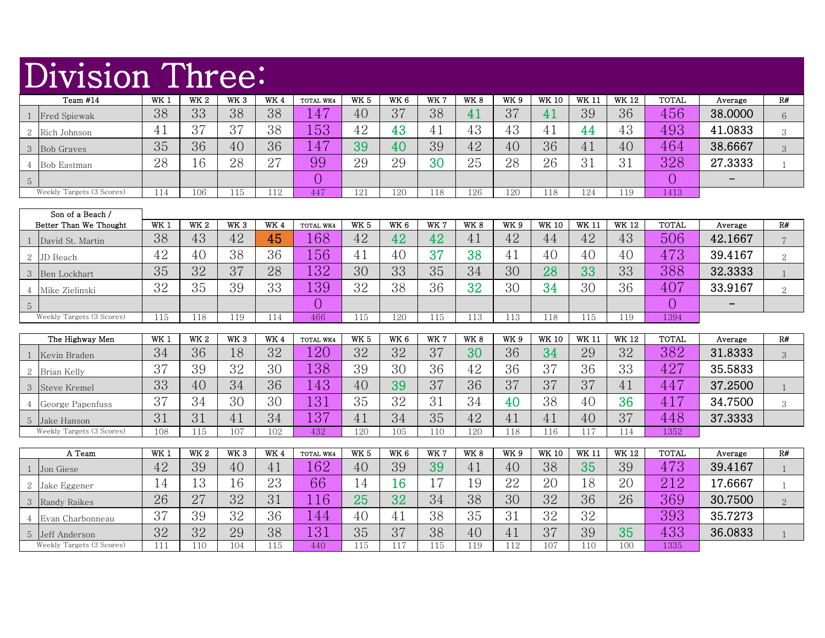## Division Three:

|                | Team #14                  | WK 1 | <b>WK2</b> | WK 3 | WK <sub>4</sub> | TOTAL WK4              | <b>WK 5</b> | WK 6      | <b>WK7</b> | WK 8 | <b>WK9</b> | <b>WK 10</b> | <b>WK 11</b>   | <b>WK 12</b>            | <b>TOTAL</b> | Average | R# |
|----------------|---------------------------|------|------------|------|-----------------|------------------------|-------------|-----------|------------|------|------------|--------------|----------------|-------------------------|--------------|---------|----|
|                | <b>Fred Spiewak</b>       | 38   | QQ<br>∪∪   | 38   | 38              | 47<br>. .              | 40          | 37        | 38         | 41   | $\Omega$   | 41           | 39             | 36                      | 456          | 38.0000 |    |
|                | Rich Johnson              | ⊥⊥   | $\Omega$   | 37   | 38              | 153                    | 42          | 4 ຕ<br>43 |            | 43   | ר ו<br>3 £ | 41           | 44             | 43                      | 493          | 41.0833 |    |
|                | 3 Bob Graves              | 35   | 36         | 40   | 36              | $\overline{47}$<br>. . | 39          | 40        | 39         | 42   | 40         | 36           | 4 <sub>1</sub> | 40                      | 464          | 38.6667 |    |
|                | Bob Eastman               | 28   | 16         | 28   | n n<br><u>.</u> | 99                     | 29          | 29        | ঽ∩<br>υu   | 25   | ററ<br>ΖČ   | 26           | $\Omega$ 1     | $\Omega$ $\Delta$<br>UΙ | 398<br>o∠c   | 27.3333 |    |
| 5 <sub>1</sub> |                           |      |            |      |                 |                        |             |           |            |      |            |              |                |                         |              | -       |    |
|                | Weekly Targets (3 Scores) | 114  | 106        | 115  |                 | 447                    | 121         | 120       | 118        | 126  | 120        | 118          | 124            | 19                      | 1413         |         |    |

| Son of a Beach /          |            |                      |                 |            |           |             |              |      |          |             |              |              |       |       |         |    |
|---------------------------|------------|----------------------|-----------------|------------|-----------|-------------|--------------|------|----------|-------------|--------------|--------------|-------|-------|---------|----|
| Better Than We Thought    | <b>WK1</b> | <b>WK 2</b>          | WK <sub>3</sub> | <b>WK4</b> | TOTAL WK4 | <b>WK 5</b> | WK 6         | WK 7 | WK 8     | <b>WK 9</b> | <b>WK 10</b> | <b>WK 11</b> | WK 12 | TOTAL | Average | R# |
| David St. Martin          | 38         | 43                   | 42              | 45         | 168       | 42          | 42           | 42   | 4        | 42          | 44           | 42           | 43    | 506   | 42.1667 |    |
| 2 JD Beach                | 42         | 40                   | 38              | 36         | 156       | $+1$        | $\cap$<br>生し | 27   | 38       |             | 40           | 40           | 40    | 473   | 39.4167 |    |
| 3 Ben Lockhart            | 35         | 2 <sub>2</sub><br>◡∠ | 37              | 28         | 132       | 30          | 33           | 35   | 34       | 30          | 28           | 33           | 33    | 388   | 32.3333 |    |
| Mike Zielinski            | 32         | 35                   | 39              | 33         | 139       | 32          | 38           | 36   | つつ<br>ບ∠ | 30          | 34           | 30           | 36    | 407   | 33.9167 |    |
| 5                         |            |                      |                 |            |           |             |              |      |          |             |              |              |       |       | -       |    |
| Weekly Targets (3 Scores) | 115        | 118                  | 119             | 114        | 466       | 115         | L20          | 115  | 113      | 13          | 118          | 115          | .19   | 1394  |         |    |

| The Highway Men           | WK 1          | <b>WK2</b>                   | WK <sub>3</sub> | WK4 | TOTAL WK4  | WK 5 | <b>WK6</b> | <b>WK7</b>       | WK 8           | WK 9                           | <b>WK 10</b> | WK 11                  | WK 12          | TOTAL          | Average | R# |
|---------------------------|---------------|------------------------------|-----------------|-----|------------|------|------------|------------------|----------------|--------------------------------|--------------|------------------------|----------------|----------------|---------|----|
| Kevin Braden              | 34            | 36                           | 18              | 32  | 20<br>I 4V | 32   | 32         | 37               | חפ             | 36                             | 34           | 29                     | 32             | 382            | 31.8333 |    |
| 2 Brian Kelly             | $\Omega$<br>◡ | 39                           | 32              | 30  | .38        | 39   | 30         | 36               | 42             | 36                             | 37           | 36                     | $\Omega$<br>◡◡ | 427            | 35.5833 |    |
| Steve Kremel              | 33            | 40                           | 34              | 36  | 43         | 40   | 39         | 37               | 36             | $\Omega$<br>ပ၊                 | 37           | 27<br>U 1              | 4.             | 447            | 37.2500 |    |
| George Papenfuss          | $\cap$<br>◡   | 24<br>ືບ±                    | 30              | 30  | 131        | 35   | 32         | $\Omega$ 1<br>്പ | $\Omega$<br>34 | $\overline{\phantom{0}}$<br>4U | 38           | $\Lambda$ $\cap$<br>4U | २६<br>UU       | $\overline{ }$ | 34.7500 |    |
| 5 Jake Hanson             | 21<br>υĪ      | $\Omega$ 1<br>$\mathfrak{I}$ | 41              | 34  | 137        | 41   | 34         | 35               | 42             |                                | 41           | 40                     | 27<br>◡        | 448            | 37.3333 |    |
| Weekly Targets (3 Scores) | 108           | 115                          | 107             | 102 | 432        | 120  | 105        | 110              | 120            | 118                            | 116          | $\overline{ }$         | 114            | 1352           |         |    |

| A Team                    | WK 1       | <b>WK 2</b>                          | WK 3                                     | WK 4           | TOTAL WK4                            | WK 5 | WK 6                    | WK 7                       | WK 8           | WK 9             | WK 10 | WK 11 | WK 12      | TOTAL | Average | R# |
|---------------------------|------------|--------------------------------------|------------------------------------------|----------------|--------------------------------------|------|-------------------------|----------------------------|----------------|------------------|-------|-------|------------|-------|---------|----|
| Jon Giese                 | 42         | 39                                   | 40                                       | 41             | 62                                   | 40   | 39                      | 20                         |                | 40               | 38    | 35    | 39<br>∪ಎ   | 473   | 39.4167 |    |
| 2 Jake Eggener            | 14         | 1 Ω<br>ΙU                            | $\rightarrow$ $\sim$<br>$\sqrt{2}$<br>⊥∪ | 23             | 66                                   | 14   | 16                      | $\overline{ }$<br><b>.</b> | 1 <sup>c</sup> | ററ               | 20    | 18    | ററ<br>∠ ∖. | 010   | l7.6667 |    |
| 3 Randy Raikes            | 26         | $\Omega$<br>$\overline{\phantom{a}}$ | 29<br>◡∠                                 | 21<br>$\cup$ 1 | $\mathcal{L}$<br>$\rightarrow$<br>л. | 25   | ໑໑<br>UZ                | 34                         | 38             | 30               | 32    | 36    | 26         | 369   | 30.7500 |    |
| Evan Charbonneau          | 27<br>. ပ. | 39                                   | 32                                       | 36             | 44                                   | 4C   | –                       | 38                         | 35             | $\Omega$ 1<br>υı | 32    | 32    |            | 393   | 35.7273 |    |
| 5 Jeff Anderson           | 32         | $\Omega$<br>$\cup$ $\sqcup$          | 29                                       | 38             | $\triangle$ $2^+$<br>ZUZ             | 35   | 27<br>∪7                | 38                         | 40             |                  | 37    | 39    | 25<br>ບບ   | 433   | 36.0833 |    |
| Weekly Targets (3 Scores) | 111        | 110                                  | 104                                      | 115            | 440                                  | 115  | $\overline{1}$<br>4 I V | 115                        | 119            | 12               | 107   | 110   | 100        | 1335  |         |    |